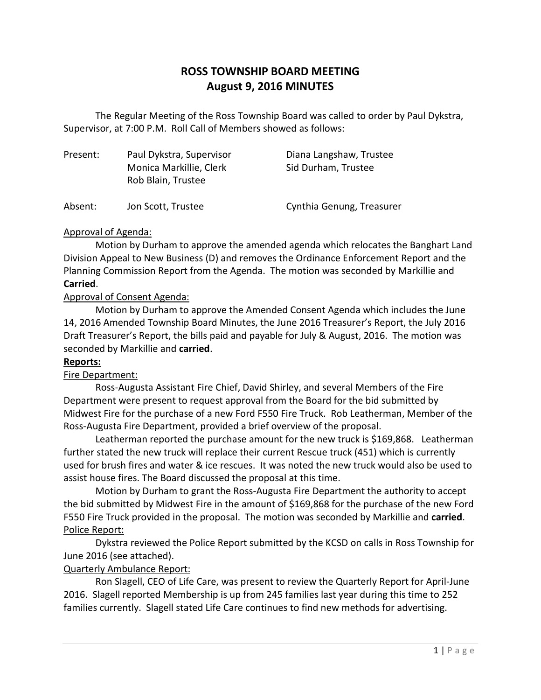# **ROSS TOWNSHIP BOARD MEETING August 9, 2016 MINUTES**

The Regular Meeting of the Ross Township Board was called to order by Paul Dykstra, Supervisor, at 7:00 P.M. Roll Call of Members showed as follows:

| Present: | Paul Dykstra, Supervisor<br>Monica Markillie, Clerk<br>Rob Blain, Trustee | Diana Langshaw, Trustee<br>Sid Durham, Trustee |
|----------|---------------------------------------------------------------------------|------------------------------------------------|
| Absent:  | Jon Scott, Trustee                                                        | Cynthia Genung, Treasurer                      |

### Approval of Agenda:

Motion by Durham to approve the amended agenda which relocates the Banghart Land Division Appeal to New Business (D) and removes the Ordinance Enforcement Report and the Planning Commission Report from the Agenda. The motion was seconded by Markillie and **Carried**.

### Approval of Consent Agenda:

Motion by Durham to approve the Amended Consent Agenda which includes the June 14, 2016 Amended Township Board Minutes, the June 2016 Treasurer's Report, the July 2016 Draft Treasurer's Report, the bills paid and payable for July & August, 2016. The motion was seconded by Markillie and **carried**.

### **Reports:**

### Fire Department:

Ross-Augusta Assistant Fire Chief, David Shirley, and several Members of the Fire Department were present to request approval from the Board for the bid submitted by Midwest Fire for the purchase of a new Ford F550 Fire Truck. Rob Leatherman, Member of the Ross-Augusta Fire Department, provided a brief overview of the proposal.

Leatherman reported the purchase amount for the new truck is \$169,868. Leatherman further stated the new truck will replace their current Rescue truck (451) which is currently used for brush fires and water & ice rescues. It was noted the new truck would also be used to assist house fires. The Board discussed the proposal at this time.

Motion by Durham to grant the Ross-Augusta Fire Department the authority to accept the bid submitted by Midwest Fire in the amount of \$169,868 for the purchase of the new Ford F550 Fire Truck provided in the proposal. The motion was seconded by Markillie and **carried**. Police Report:

Dykstra reviewed the Police Report submitted by the KCSD on calls in Ross Township for June 2016 (see attached).

## Quarterly Ambulance Report:

Ron Slagell, CEO of Life Care, was present to review the Quarterly Report for April-June 2016. Slagell reported Membership is up from 245 families last year during this time to 252 families currently. Slagell stated Life Care continues to find new methods for advertising.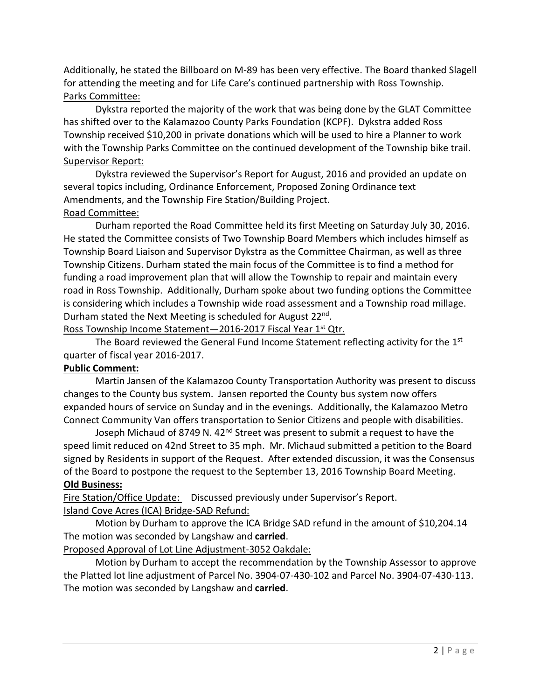Additionally, he stated the Billboard on M-89 has been very effective. The Board thanked Slagell for attending the meeting and for Life Care's continued partnership with Ross Township. Parks Committee:

Dykstra reported the majority of the work that was being done by the GLAT Committee has shifted over to the Kalamazoo County Parks Foundation (KCPF). Dykstra added Ross Township received \$10,200 in private donations which will be used to hire a Planner to work with the Township Parks Committee on the continued development of the Township bike trail. Supervisor Report:

Dykstra reviewed the Supervisor's Report for August, 2016 and provided an update on several topics including, Ordinance Enforcement, Proposed Zoning Ordinance text Amendments, and the Township Fire Station/Building Project. Road Committee:

Durham reported the Road Committee held its first Meeting on Saturday July 30, 2016. He stated the Committee consists of Two Township Board Members which includes himself as Township Board Liaison and Supervisor Dykstra as the Committee Chairman, as well as three Township Citizens. Durham stated the main focus of the Committee is to find a method for funding a road improvement plan that will allow the Township to repair and maintain every road in Ross Township. Additionally, Durham spoke about two funding options the Committee is considering which includes a Township wide road assessment and a Township road millage. Durham stated the Next Meeting is scheduled for August 22nd.

Ross Township Income Statement-2016-2017 Fiscal Year 1<sup>st</sup> Qtr.

The Board reviewed the General Fund Income Statement reflecting activity for the  $1<sup>st</sup>$ quarter of fiscal year 2016-2017.

## **Public Comment:**

Martin Jansen of the Kalamazoo County Transportation Authority was present to discuss changes to the County bus system. Jansen reported the County bus system now offers expanded hours of service on Sunday and in the evenings. Additionally, the Kalamazoo Metro Connect Community Van offers transportation to Senior Citizens and people with disabilities.

Joseph Michaud of 8749 N. 42<sup>nd</sup> Street was present to submit a request to have the speed limit reduced on 42nd Street to 35 mph. Mr. Michaud submitted a petition to the Board signed by Residents in support of the Request. After extended discussion, it was the Consensus of the Board to postpone the request to the September 13, 2016 Township Board Meeting. **Old Business:**

Fire Station/Office Update: Discussed previously under Supervisor's Report. Island Cove Acres (ICA) Bridge-SAD Refund:

Motion by Durham to approve the ICA Bridge SAD refund in the amount of \$10,204.14 The motion was seconded by Langshaw and **carried**.

## Proposed Approval of Lot Line Adjustment-3052 Oakdale:

Motion by Durham to accept the recommendation by the Township Assessor to approve the Platted lot line adjustment of Parcel No. 3904-07-430-102 and Parcel No. 3904-07-430-113. The motion was seconded by Langshaw and **carried**.